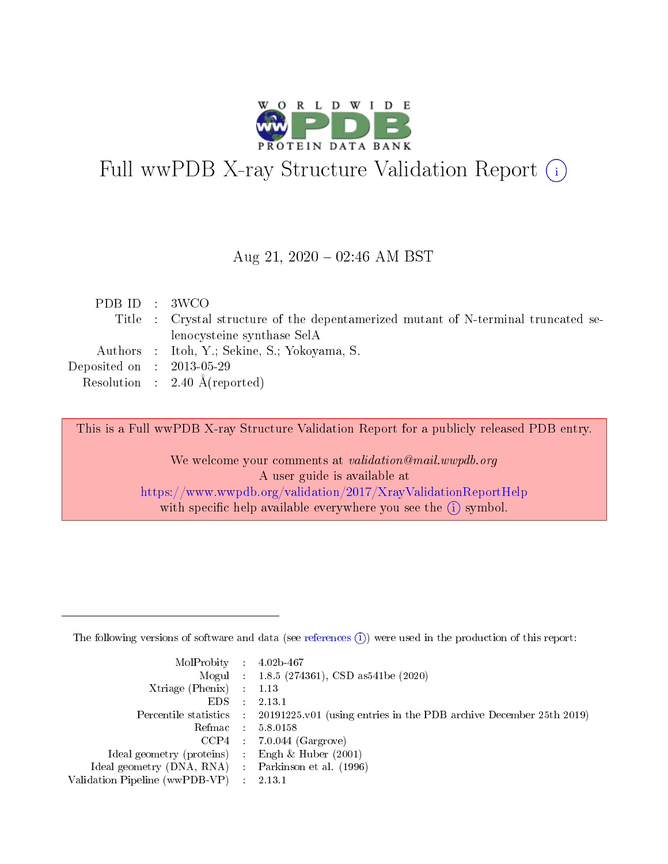

# Full wwPDB X-ray Structure Validation Report (i)

#### Aug 21,  $2020 - 02:46$  AM BST

| PDB ID : 3WCO               |                                                                                    |
|-----------------------------|------------------------------------------------------------------------------------|
|                             | Title : Crystal structure of the depentamerized mutant of N-terminal truncated se- |
|                             | lenocysteine synthase SelA                                                         |
|                             | Authors : Itoh, Y.; Sekine, S.; Yokoyama, S.                                       |
| Deposited on : $2013-05-29$ |                                                                                    |
|                             | Resolution : $2.40 \text{ Å}$ (reported)                                           |
|                             |                                                                                    |

This is a Full wwPDB X-ray Structure Validation Report for a publicly released PDB entry.

We welcome your comments at validation@mail.wwpdb.org A user guide is available at <https://www.wwpdb.org/validation/2017/XrayValidationReportHelp> with specific help available everywhere you see the  $(i)$  symbol.

The following versions of software and data (see [references](https://www.wwpdb.org/validation/2017/XrayValidationReportHelp#references)  $(1)$ ) were used in the production of this report:

| $MolProbability$ : 4.02b-467                      |                             |                                                                                            |
|---------------------------------------------------|-----------------------------|--------------------------------------------------------------------------------------------|
|                                                   |                             | Mogul : $1.8.5$ (274361), CSD as 541be (2020)                                              |
| Xtriage (Phenix) $: 1.13$                         |                             |                                                                                            |
| EDS.                                              | $\mathcal{L}$               | 2.13.1                                                                                     |
|                                                   |                             | Percentile statistics : 20191225.v01 (using entries in the PDB archive December 25th 2019) |
| Refmac : 5.8.0158                                 |                             |                                                                                            |
|                                                   |                             | $CCP4$ 7.0.044 (Gargrove)                                                                  |
| Ideal geometry (proteins)                         | $\mathcal{L}_{\mathcal{L}}$ | Engh $\&$ Huber (2001)                                                                     |
| Ideal geometry (DNA, RNA) Parkinson et al. (1996) |                             |                                                                                            |
| Validation Pipeline (wwPDB-VP) : 2.13.1           |                             |                                                                                            |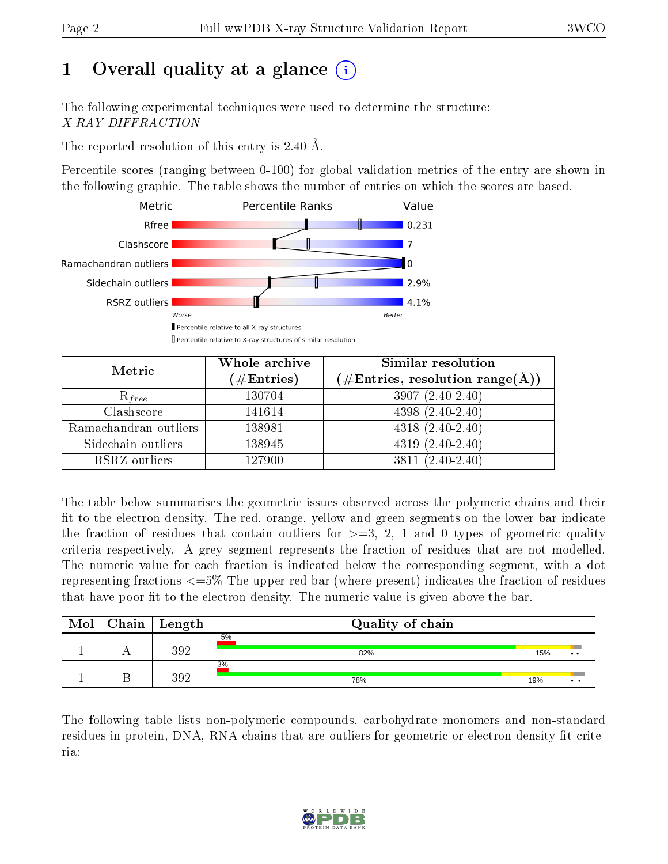# 1 [O](https://www.wwpdb.org/validation/2017/XrayValidationReportHelp#overall_quality)verall quality at a glance  $(i)$

The following experimental techniques were used to determine the structure: X-RAY DIFFRACTION

The reported resolution of this entry is 2.40 Å.

Percentile scores (ranging between 0-100) for global validation metrics of the entry are shown in the following graphic. The table shows the number of entries on which the scores are based.



| Metric                | Whole archive<br>$(\#\text{Entries})$ | <b>Similar resolution</b><br>$(\#\text{Entries}, \text{resolution range}(\text{\AA}))$ |
|-----------------------|---------------------------------------|----------------------------------------------------------------------------------------|
| $R_{free}$            | 130704                                | $3907(2.40-2.40)$                                                                      |
| Clashscore            | 141614                                | $4398(2.40-2.40)$                                                                      |
| Ramachandran outliers | 138981                                | $4318 (2.40 - 2.40)$                                                                   |
| Sidechain outliers    | 138945                                | $4319(2.40-2.40)$                                                                      |
| RSRZ outliers         | 127900                                | $3811(2.40-2.40)$                                                                      |

The table below summarises the geometric issues observed across the polymeric chains and their fit to the electron density. The red, orange, yellow and green segments on the lower bar indicate the fraction of residues that contain outliers for  $>=3, 2, 1$  and 0 types of geometric quality criteria respectively. A grey segment represents the fraction of residues that are not modelled. The numeric value for each fraction is indicated below the corresponding segment, with a dot representing fractions <=5% The upper red bar (where present) indicates the fraction of residues that have poor fit to the electron density. The numeric value is given above the bar.

| Mol | $C$ hain   Length | Quality of chain |     |                      |
|-----|-------------------|------------------|-----|----------------------|
|     | 392               | 5%<br>82%        | 15% | $\bullet\bullet$     |
|     | 392               | 3%<br>78%        | 19% | $\bullet\quadbullet$ |

The following table lists non-polymeric compounds, carbohydrate monomers and non-standard residues in protein, DNA, RNA chains that are outliers for geometric or electron-density-fit criteria:

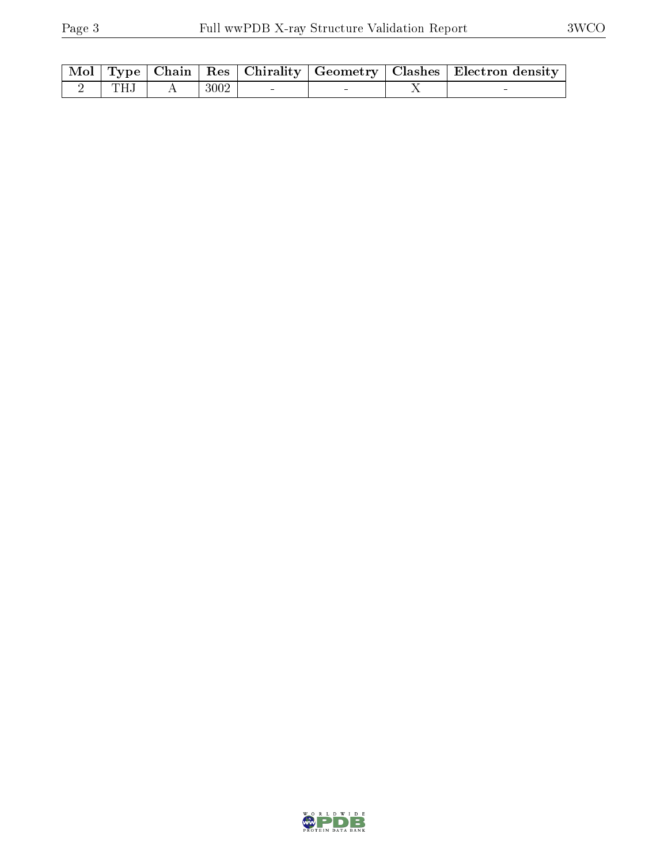|      |      |  | Mol   Type   Chain   Res   Chirality   Geometry   Clashes   Electron density |
|------|------|--|------------------------------------------------------------------------------|
| TH.I | 3002 |  |                                                                              |

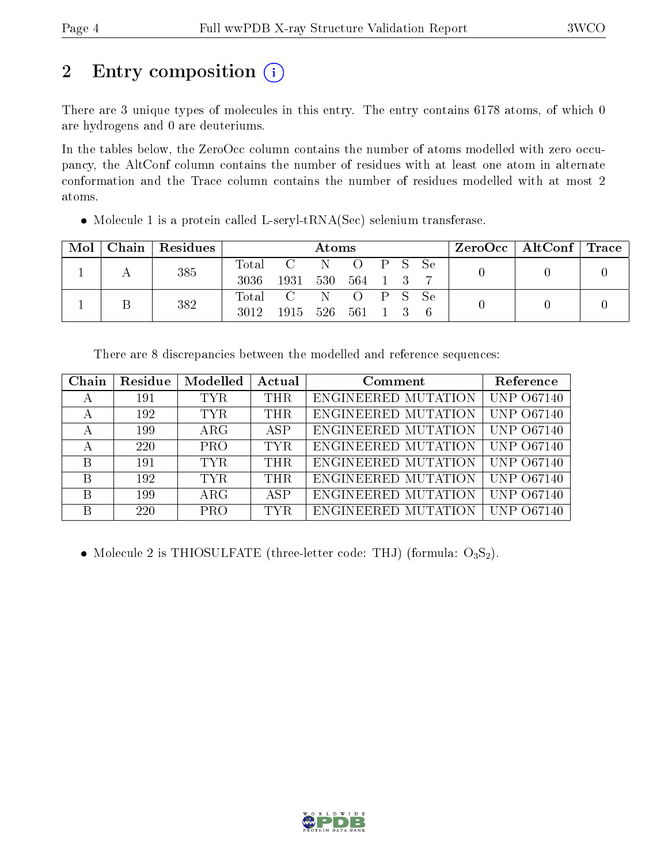# 2 Entry composition (i)

There are 3 unique types of molecules in this entry. The entry contains 6178 atoms, of which 0 are hydrogens and 0 are deuteriums.

In the tables below, the ZeroOcc column contains the number of atoms modelled with zero occupancy, the AltConf column contains the number of residues with at least one atom in alternate conformation and the Trace column contains the number of residues modelled with at most 2 atoms.

| Mol |  | Chain   Residues |          | Atoms         |               |                  |  |  | ZeroOcc   AltConf   Trace |  |  |
|-----|--|------------------|----------|---------------|---------------|------------------|--|--|---------------------------|--|--|
|     |  | 385              | Total    | $\mathcal{C}$ |               | $\left( \right)$ |  |  | PS Se                     |  |  |
|     |  |                  | 3036     | 1931          | - 530         | 564 1            |  |  |                           |  |  |
|     |  | 382              | Total    | $\mathcal{C}$ |               |                  |  |  | $O$ P S Se                |  |  |
| Β   |  | 3012             | 1915 526 |               | $561 \quad 1$ |                  |  |  |                           |  |  |

Molecule 1 is a protein called L-seryl-tRNA(Sec) selenium transferase.

There are 8 discrepancies between the modelled and reference sequences:

| Chain | Residue | Modelled   | Actual     | Comment                    | Reference         |
|-------|---------|------------|------------|----------------------------|-------------------|
| А     | 191     | TYR.       | <b>THR</b> | ENGINEERED MUTATION        | <b>UNP 067140</b> |
| А     | 192     | TYR.       | <b>THR</b> | ENGINEERED MUTATION        | <b>UNP 067140</b> |
| А     | 199     | $\rm{ARG}$ | ASP        | ENGINEERED MUTATION        | <b>UNP 067140</b> |
|       | 220     | <b>PRO</b> | TYR.       | ENGINEERED MUTATION        | <b>UNP 067140</b> |
| B     | 191     | TYR.       | THR.       | ENGINEERED MUTATION        | <b>UNP 067140</b> |
| B     | 192     | TYR.       | <b>THR</b> | ENGINEERED MUTATION        | <b>UNP 067140</b> |
| В     | 199     | $\rm{ARG}$ | <b>ASP</b> | <b>ENGINEERED MUTATION</b> | <b>UNP 067140</b> |
| В     | 220     | <b>PRO</b> | TYR.       | ENGINEERED MUTATION        | $UNP$ .           |

• Molecule 2 is THIOSULFATE (three-letter code: THJ) (formula:  $O_3S_2$ ).

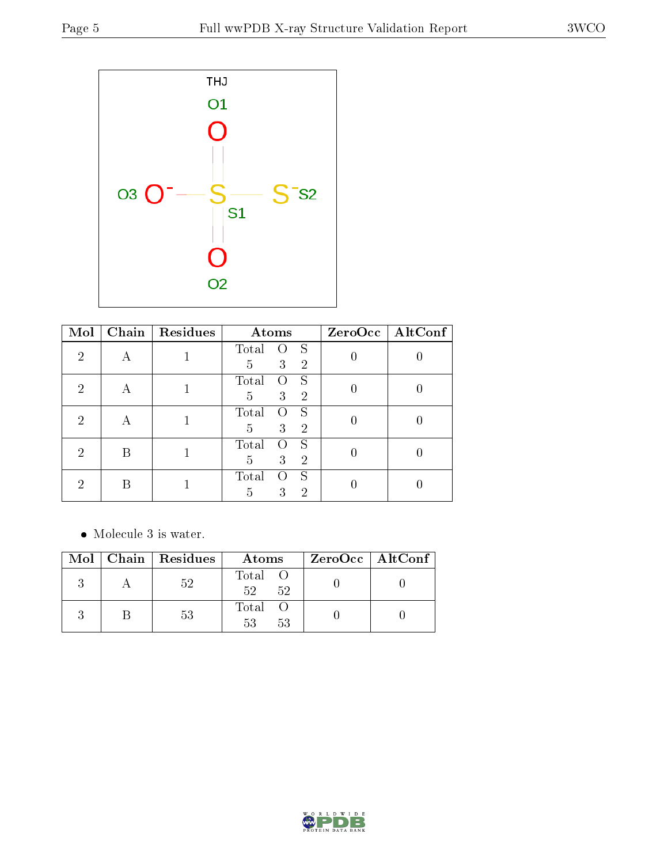

| Mol | Chain | Residues | Atoms                                           |                  | $ZeroOcc \fbox{AltConf}$ |
|-----|-------|----------|-------------------------------------------------|------------------|--------------------------|
| 2   |       |          | Total<br>S<br>3<br>5<br>$\overline{2}$          |                  |                          |
| 2   | А     |          | S<br>Total<br>0<br>3<br>5<br>$\overline{2}$     | $\left( \right)$ |                          |
| 2   | A     |          | Total<br>S<br>0<br>3<br>$\overline{2}$<br>5     |                  |                          |
| 2   |       |          | Total<br>S<br>3<br>$\overline{2}$<br>5          |                  |                          |
| 2   |       |          | S<br>Total<br>3<br>2<br>$\overline{\mathbf{d}}$ |                  |                          |

• Molecule 3 is water.

|  | Mol   Chain   Residues | Atoms               | $ZeroOcc \mid AltConf \mid$ |
|--|------------------------|---------------------|-----------------------------|
|  | 52                     | Total O<br>52<br>52 |                             |
|  | 53                     | Total O<br>53<br>53 |                             |

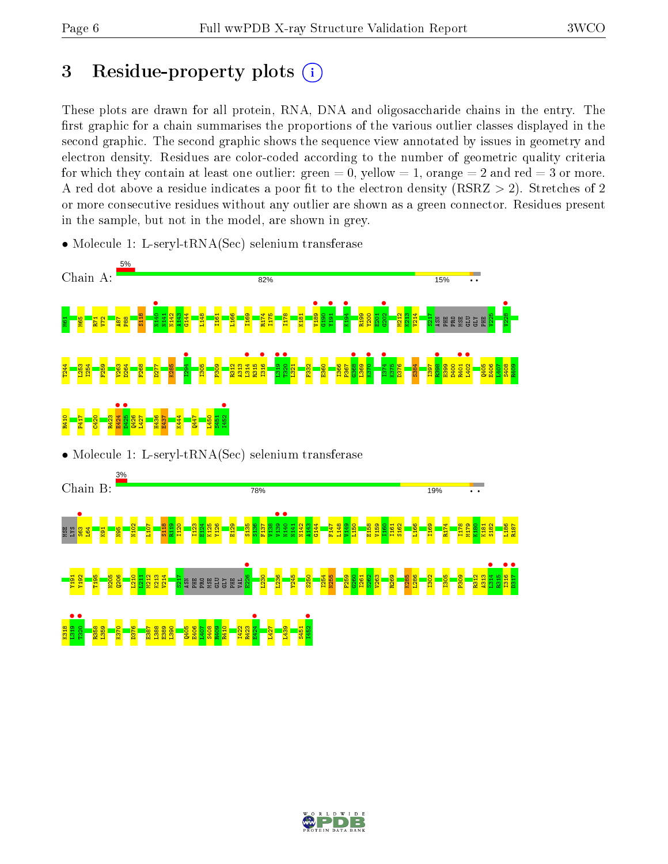# 3 Residue-property plots  $\binom{1}{1}$

These plots are drawn for all protein, RNA, DNA and oligosaccharide chains in the entry. The first graphic for a chain summarises the proportions of the various outlier classes displayed in the second graphic. The second graphic shows the sequence view annotated by issues in geometry and electron density. Residues are color-coded according to the number of geometric quality criteria for which they contain at least one outlier: green  $= 0$ , yellow  $= 1$ , orange  $= 2$  and red  $= 3$  or more. A red dot above a residue indicates a poor fit to the electron density ( $\text{RSRZ} > 2$ ). Stretches of 2 or more consecutive residues without any outlier are shown as a green connector. Residues present in the sample, but not in the model, are shown in grey.

• Molecule 1: L-seryl-tRNA(Sec) selenium transferase





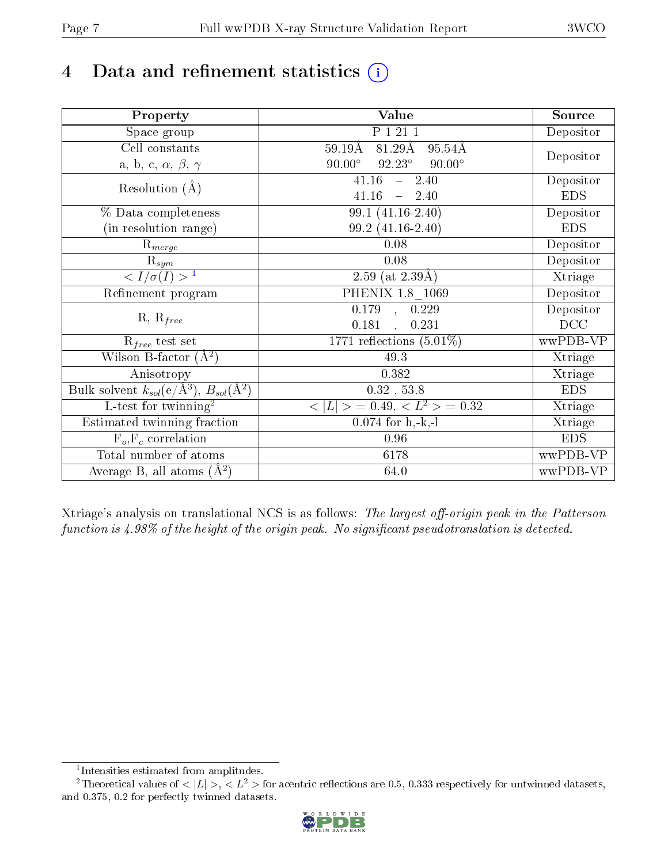# 4 Data and refinement statistics  $(i)$

| Property                                                             | Value                                                       | Source     |
|----------------------------------------------------------------------|-------------------------------------------------------------|------------|
| Space group                                                          | P 1 21 1                                                    | Depositor  |
| Cell constants                                                       | $81.29\text{\AA}$<br>$95.54\text{\AA}$<br>$59.19\text{\AA}$ |            |
| a, b, c, $\alpha$ , $\beta$ , $\gamma$                               | $90.00^\circ$<br>$92.23^\circ$<br>$90.00^\circ$             | Depositor  |
| Resolution $(A)$                                                     | 41.16<br>$-2.40$                                            | Depositor  |
|                                                                      | 41.16<br>$-2.40$                                            | <b>EDS</b> |
| % Data completeness                                                  | 99.1 (41.16-2.40)                                           | Depositor  |
| (in resolution range)                                                | 99.2 (41.16-2.40)                                           | <b>EDS</b> |
| $R_{merge}$                                                          | 0.08                                                        | Depositor  |
| $\mathrm{R}_{sym}$                                                   | 0.08                                                        | Depositor  |
| $\overline{1$                                                        | 2.59 (at $2.39\text{\AA})$                                  | Xtriage    |
| Refinement program                                                   | PHENIX $1.8 - 1069$                                         | Depositor  |
|                                                                      | $\overline{0.179}$ ,<br>0.229                               | Depositor  |
| $R, R_{free}$                                                        | 0.181<br>0.231<br>$\ddot{\phantom{a}}$                      | DCC        |
| $R_{free}$ test set                                                  | 1771 reflections $(5.01\%)$                                 | wwPDB-VP   |
| Wilson B-factor $(A^2)$                                              | 49.3                                                        | Xtriage    |
| Anisotropy                                                           | 0.382                                                       | Xtriage    |
| Bulk solvent $k_{sol}(e/\mathring{A}^3)$ , $B_{sol}(\mathring{A}^2)$ | $0.32$ , 53.8                                               | <b>EDS</b> |
| $\overline{L-test for}$ twinning <sup>2</sup>                        | $< L >$ = 0.49, $< L2$ = 0.32                               | Xtriage    |
| Estimated twinning fraction                                          | $0.074$ for h,-k,-l                                         | Xtriage    |
| $F_o, F_c$ correlation                                               | 0.96                                                        | <b>EDS</b> |
| Total number of atoms                                                | 6178                                                        | wwPDB-VP   |
| Average B, all atoms $(A^2)$                                         | 64.0                                                        | wwPDB-VP   |

Xtriage's analysis on translational NCS is as follows: The largest off-origin peak in the Patterson function is  $4.98\%$  of the height of the origin peak. No significant pseudotranslation is detected.

<sup>&</sup>lt;sup>2</sup>Theoretical values of  $\langle |L| \rangle$ ,  $\langle L^2 \rangle$  for acentric reflections are 0.5, 0.333 respectively for untwinned datasets, and 0.375, 0.2 for perfectly twinned datasets.



<span id="page-6-1"></span><span id="page-6-0"></span><sup>1</sup> Intensities estimated from amplitudes.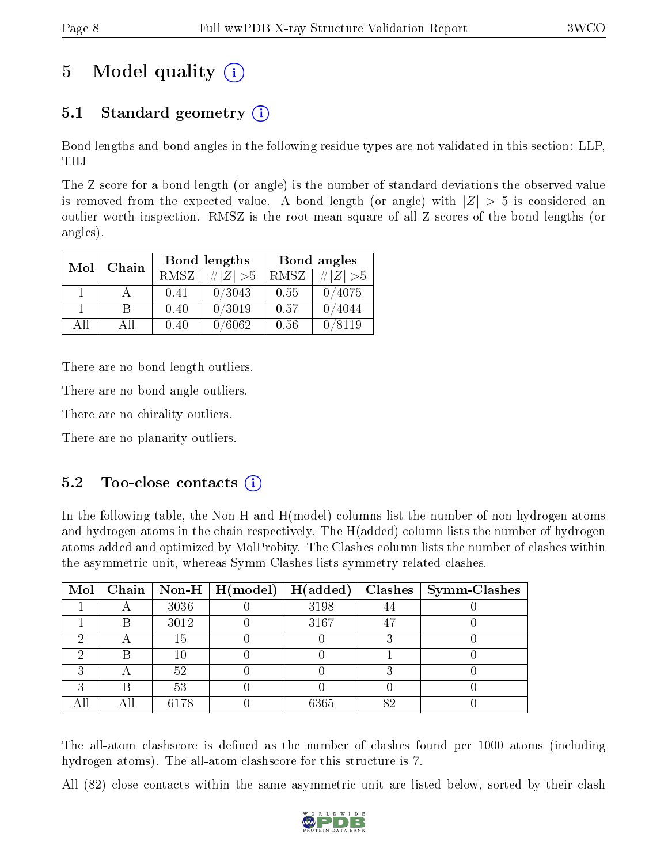# 5 Model quality  $(i)$

### 5.1 Standard geometry (i)

Bond lengths and bond angles in the following residue types are not validated in this section: LLP, THJ

The Z score for a bond length (or angle) is the number of standard deviations the observed value is removed from the expected value. A bond length (or angle) with  $|Z| > 5$  is considered an outlier worth inspection. RMSZ is the root-mean-square of all Z scores of the bond lengths (or angles).

| Mol | Chain |      | Bond lengths  | Bond angles |             |  |
|-----|-------|------|---------------|-------------|-------------|--|
|     |       | RMSZ | $\# Z  > 5$   | RMSZ        | $\# Z  > 5$ |  |
|     |       | 0.41 | 0/3043        | 0.55        | 0/4075      |  |
|     | R     | 0.40 | 0/3019        | 0.57        | 0/4044      |  |
| AΠ  | A 11  | 0.40 | $\sqrt{6062}$ | 0.56        | 0/8119      |  |

There are no bond length outliers.

There are no bond angle outliers.

There are no chirality outliers.

There are no planarity outliers.

### $5.2$  Too-close contacts  $(i)$

In the following table, the Non-H and H(model) columns list the number of non-hydrogen atoms and hydrogen atoms in the chain respectively. The H(added) column lists the number of hydrogen atoms added and optimized by MolProbity. The Clashes column lists the number of clashes within the asymmetric unit, whereas Symm-Clashes lists symmetry related clashes.

|   |      | Mol   Chain   Non-H   H(model)   H(added) |      |    | $Clashes$   Symm-Clashes |
|---|------|-------------------------------------------|------|----|--------------------------|
|   | 3036 |                                           | 3198 |    |                          |
| B | 3012 |                                           | 3167 | 47 |                          |
|   | 15   |                                           |      |    |                          |
| B | 10   |                                           |      |    |                          |
|   | 52   |                                           |      |    |                          |
| B | 53   |                                           |      |    |                          |
|   | 6178 |                                           | 6365 | 82 |                          |

The all-atom clashscore is defined as the number of clashes found per 1000 atoms (including hydrogen atoms). The all-atom clashscore for this structure is 7.

All (82) close contacts within the same asymmetric unit are listed below, sorted by their clash

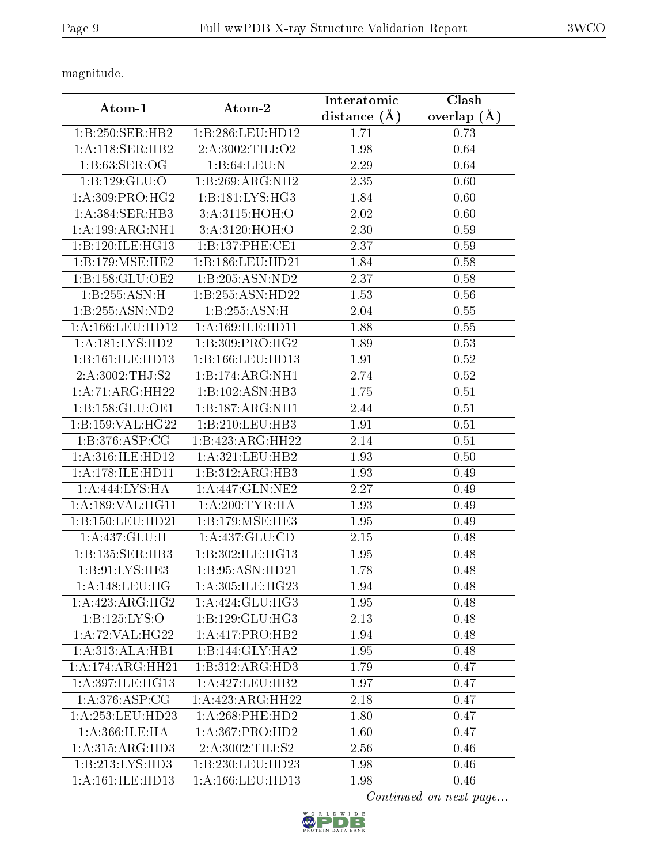magnitude.

|                      |                      | Interatomic    | Clash             |
|----------------------|----------------------|----------------|-------------------|
| Atom-1               | Atom-2               | distance $(A)$ | overlap $(A)$     |
| 1:B:250:SER:HB2      | 1:B:286:LEU:HD12     | 1.71           | 0.73              |
| 1:A:118:SER:HB2      | 2:A:3002:THJ:O2      | 1.98           | 0.64              |
| 1:B:63:SER:OG        | 1:B:64:LEU:N         | 2.29           | 0.64              |
| 1:B:129:GLU:O        | 1:B:269:ARG:NH2      | 2.35           | 0.60              |
| 1: A:309: PRO:HG2    | 1:B:181:LYS:HG3      | 1.84           | 0.60              |
| 1:A:384:SER:HB3      | 3:A:3115:HOH:O       | 2.02           | 0.60              |
| 1:A:199:ARG:NH1      | 3:A:3120:HOH:O       | 2.30           | 0.59              |
| 1:B:120:ILE:HG13     | 1:B:137:PHE:CE1      | 2.37           | 0.59              |
| 1:B:179:MSE:HE2      | 1:B:186:LEU:HD21     | 1.84           | 0.58              |
| 1: B: 158: GLU: OE2  | 1:B:205:ASN:ND2      | 2.37           | 0.58              |
| 1:B:255:ASN:H        | 1:B:255:ASN:HD22     | 1.53           | 0.56              |
| 1:B:255:ASN:ND2      | 1:B:255:ASN:H        | 2.04           | 0.55              |
| 1: A: 166: LEU: HD12 | 1: A: 169: ILE: HD11 | 1.88           | 0.55              |
| 1:A:181:LYS:HD2      | 1:B:309:PRO:HG2      | 1.89           | 0.53              |
| 1:B:161:ILE:HD13     | 1:B:166:LEU:HD13     | 1.91           | 0.52              |
| 2:A:3002:THJ:S2      | 1:B:174:ARG:NH1      | 2.74           | 0.52              |
| 1:A:71:ARG:HH22      | 1:B:102:ASN:HB3      | 1.75           | 0.51              |
| 1:B:158:GLU:OE1      | 1:B:187:ARG:NH1      | 2.44           | 0.51              |
| 1:B:159:VAL:HG22     | 1:B:210:LEU:HB3      | 1.91           | 0.51              |
| 1:B:376:ASP:CG       | 1:B:423:ARG:HH22     | 2.14           | $\overline{0.51}$ |
| 1: A:316: ILE: HD12  | 1:A:321:LEU:HB2      | 1.93           | 0.50              |
| 1: A:178: ILE: HD11  | 1:B:312:ARG:HB3      | 1.93           | 0.49              |
| 1:A:444:LYS:HA       | 1:A:447:GLN:NE2      | 2.27           | 0.49              |
| 1:A:189:VAL:HG11     | 1: A:200:TYR:HA      | 1.93           | 0.49              |
| 1:B:150:LEU:HD21     | 1:B:179:MSE:HE3      | 1.95           | 0.49              |
| 1:A:437:GLU:H        | 1:A:437:GLU:CD       | 2.15           | 0.48              |
| 1:B:135:SER:HB3      | 1:B:302:ILE:HG13     | 1.95           | 0.48              |
| 1:B:91:LYS:HE3       | 1:B:95:ASN:HD21      | 1.78           | 0.48              |
| 1: A:148:LEU:HG      | 1: A:305: ILE: HG23  | 1.94           | 0.48              |
| 1:A:423:ARG:HG2      | 1: A:424: GLU:HG3    | 1.95           | 0.48              |
| 1: B: 125: LYS: O    | 1:B:129:GLU:HG3      | 2.13           | 0.48              |
| 1:A:72:VAL:HG22      | 1:A:417:PRO:HB2      | 1.94           | 0.48              |
| 1:A:313:ALA:HB1      | 1:B:144:GLY:HA2      | 1.95           | 0.48              |
| 1:A:174:ARG:HH21     | 1:B:312:ARG:HD3      | 1.79           | 0.47              |
| 1:A:397:ILE:HG13     | 1:A:427:LEU:HB2      | 1.97           | 0.47              |
| 1: A:376: ASP:CG     | 1:A:423:ARG:HH22     | 2.18           | 0.47              |
| 1:A:253:LEU:HD23     | 1:A:268:PHE:HD2      | 1.80           | 0.47              |
| 1: A:366: ILE: HA    | 1: A: 367: PRO: HD2  | 1.60           | 0.47              |
| 1: A: 315: ARG: HD3  | 2:A:3002:THJ:S2      | 2.56           | 0.46              |
| 1:B:213:LYS:HD3      | 1:B:230:LEU:HD23     | 1.98           | 0.46              |
| 1: A:161: ILE: HD13  | 1:A:166:LEU:HD13     | 1.98           | 0.46              |

Continued on next page...

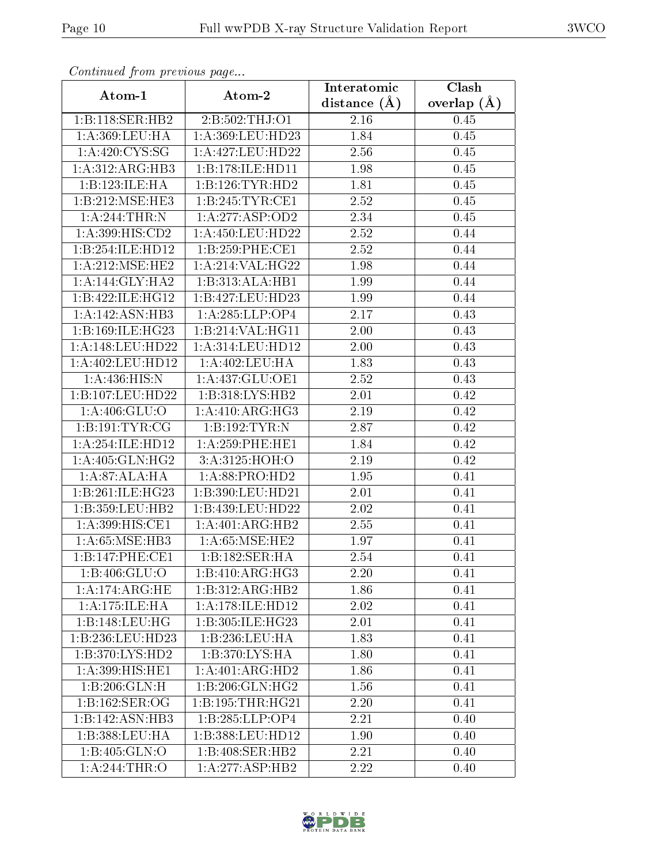| Continuea jioin pievivus page |                        | Interatomic       | $\overline{\text{Clash}}$ |
|-------------------------------|------------------------|-------------------|---------------------------|
| Atom-1                        | Atom-2                 | distance $(A)$    | overlap $(A)$             |
| 1:B:118:SER:HB2               | 2:B:502:THJ:O1         | 2.16              | 0.45                      |
| 1:A:369:LEU:HA                | 1:A:369:LEU:HD23       | 1.84              | $0.45\,$                  |
| 1: A:420: CYS:SG              | 1:A:427:LEU:HD22       | 2.56              | 0.45                      |
| 1:A:312:ARG:HB3               | 1:B:178:ILE:HD11       | 1.98              | 0.45                      |
| 1:B:123:ILE:HA                | 1:B:126:TYR:HD2        | 1.81              | 0.45                      |
| 1:B:212:MSE:HE3               | 1:B:245:TYR:CE1        | 2.52              | 0.45                      |
| 1:A:244:THR:N                 | 1: A: 277: ASP: OD2    | $\overline{2}.34$ | 0.45                      |
| 1:A:399:HIS:CD2               | $1: A: 450:$ LEU:HD22  | 2.52              | 0.44                      |
| 1:B:254:ILE:HD12              | 1:B:259:PHE:CE1        | $\overline{2}.52$ | 0.44                      |
| 1: A:212: MSE: HE2            | 1: A:214:VAL:HG22      | 1.98              | 0.44                      |
| 1: A:144: GLY:HA2             | 1:B:313:ALA:HB1        | 1.99              | 0.44                      |
| 1:B:422:ILE:HGI2              | 1:B:427:LEU:HD23       | 1.99              | 0.44                      |
| 1:A:142:ASN:HB3               | 1:A:285:LLP:OP4        | 2.17              | 0.43                      |
| 1: B:169: ILE: HG23           | 1:B:214:VAL:HG11       | 2.00              | 0.43                      |
| 1: A:148: LEU: HD22           | 1: A:314:LEU:HD12      | 2.00              | 0.43                      |
| 1:A:402:LEU:HD12              | 1:A:402:LEU:HA         | 1.83              | 0.43                      |
| 1: A:436:HIS:N                | 1:A:437:GLU:OE1        | 2.52              | 0.43                      |
| 1:B:107:LEU:HD22              | 1:B:318:LYS:HB2        | 2.01              | 0.42                      |
| 1: A:406: GLU:O               | 1:A:410:ARG:HG3        | 2.19              | 0.42                      |
| 1:B:191:TYR:CG                | 1:B:192:TYR:N          | 2.87              | 0.42                      |
| 1:A:254:ILE:HD12              | $1: A:259:$ PHE:HE $1$ | 1.84              | 0.42                      |
| 1: A:405: GLN: HG2            | 3:A:3125:HOH:O         | 2.19              | 0.42                      |
| 1:A:87:ALA:HA                 | 1:A:88:PRO:HD2         | 1.95              | 0.41                      |
| 1:B:261:ILE:HG23              | 1:B:390:LEU:HD21       | 2.01              | 0.41                      |
| 1:B:359:LEU:HB2               | 1:B:439:LEU:HD22       | 2.02              | 0.41                      |
| 1:A:399:HIS:CE1               | 1:A:401:ARG:HB2        | $\overline{2.55}$ | 0.41                      |
| 1: A:65: MSE:HB3              | 1: A:65: MSE:HE2       | 1.97              | 0.41                      |
| 1:B:147:PHE:CE1               | 1:B:182:SER:HA         | 2.54              | 0.41                      |
| $1:B:\overline{406:GLU:O}$    | 1:B:410:ARG:HG3        | 2.20              | 0.41                      |
| 1: A:174: ARG: HE             | 1:B:312:ARG:HB2        | 1.86              | 0.41                      |
| 1: A: 175: ILE: HA            | 1:A:178:ILE:HD12       | 2.02              | 0.41                      |
| 1:B:148:LEU:HG                | 1:B:305:ILE:HG23       | 2.01              | 0.41                      |
| 1:B:236:LEU:HD23              | 1:B:236:LEU:HA         | 1.83              | 0.41                      |
| 1:B:370:LYS:HD2               | 1:B:370:LYS:HA         | 1.80              | 0.41                      |
| 1:A:399:HIS:HE1               | 1:A:401:ARG:HD2        | 1.86              | 0.41                      |
| 1:B:206:GLN:H                 | 1:B:206:GLN:HG2        | 1.56              | 0.41                      |
| 1:B:162:SER:OG                | 1:B:195:THR:HG21       | 2.20              | 0.41                      |
| 1:B:142:ASN:HB3               | 1:B:285:LLP:OP4        | 2.21              | 0.40                      |
| 1: B: 388: LEU: HA            | 1:B:388:LEU:HD12       | 1.90              | 0.40                      |
| 1:B:405:GLN:O                 | 1:B:408:SER:HB2        | 2.21              | 0.40                      |
| 1: A:244:THR:O                | 1:A:277:ASP:HB2        | 2.22              | 0.40                      |

Continued from previous page.

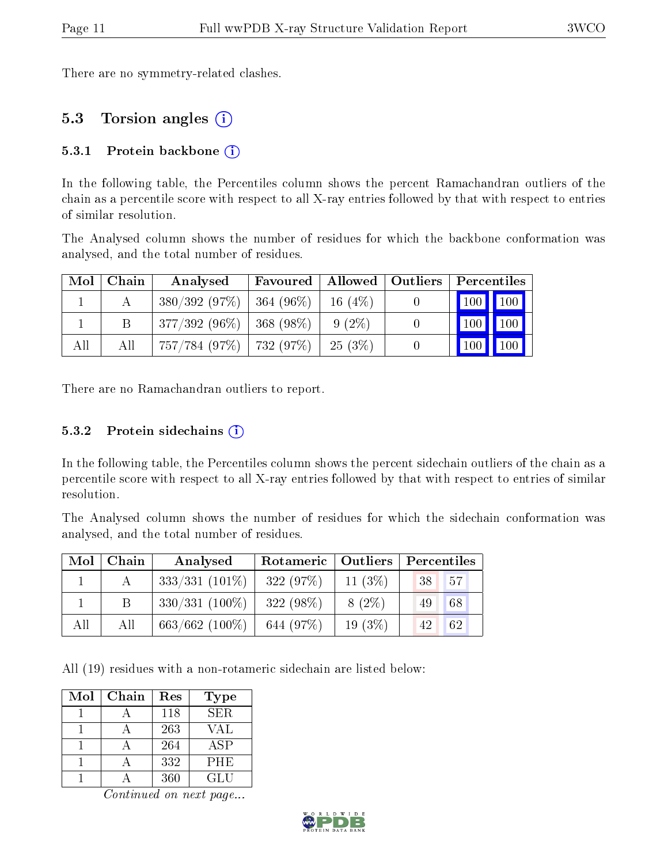There are no symmetry-related clashes.

### 5.3 Torsion angles (i)

#### 5.3.1 Protein backbone  $(i)$

In the following table, the Percentiles column shows the percent Ramachandran outliers of the chain as a percentile score with respect to all X-ray entries followed by that with respect to entries of similar resolution.

The Analysed column shows the number of residues for which the backbone conformation was analysed, and the total number of residues.

|     | $Mol$   Chain | Analysed                      | Favoured   Allowed   Outliers |           | Percentiles                  |                     |
|-----|---------------|-------------------------------|-------------------------------|-----------|------------------------------|---------------------|
|     |               | $380/392(97\%)$   364 (96\%)  |                               | 16(4%)    | 100 100                      |                     |
|     |               | $377/392(96\%)$   368 (98\%)  |                               | $9(2\%)$  | $\mid$ 100 $\mid$ 100 $\mid$ |                     |
| All | Аll           | $757/784$ (97\%)   732 (97\%) |                               | $-25(3%)$ | $\vert$ 100 $\vert$          | $\vert$ 100 $\vert$ |

There are no Ramachandran outliers to report.

#### 5.3.2 Protein sidechains  $(i)$

In the following table, the Percentiles column shows the percent sidechain outliers of the chain as a percentile score with respect to all X-ray entries followed by that with respect to entries of similar resolution.

The Analysed column shows the number of residues for which the sidechain conformation was analysed, and the total number of residues.

| Mol | Chain | Analysed         | Rotameric   Outliers |            | $\vert$ Percentiles |
|-----|-------|------------------|----------------------|------------|---------------------|
|     |       | $333/331(101\%)$ | 322(97%)             | 11 $(3\%)$ | 57'<br>38           |
|     |       | $330/331$ (100%) | 322 $(98\%)$         | $8(2\%)$   | 68<br>49            |
| All | All   | $663/662$ (100%) | 644 (97%)            | 19 $(3\%)$ | 62<br>42            |

All (19) residues with a non-rotameric sidechain are listed below:

| Mol | Chain | Res | Type       |
|-----|-------|-----|------------|
|     |       | 118 | SER.       |
|     |       | 263 | VAL        |
|     |       | 264 | <b>ASP</b> |
|     |       | 332 | PHE        |
|     |       | 360 | GL U       |

Continued on next page...

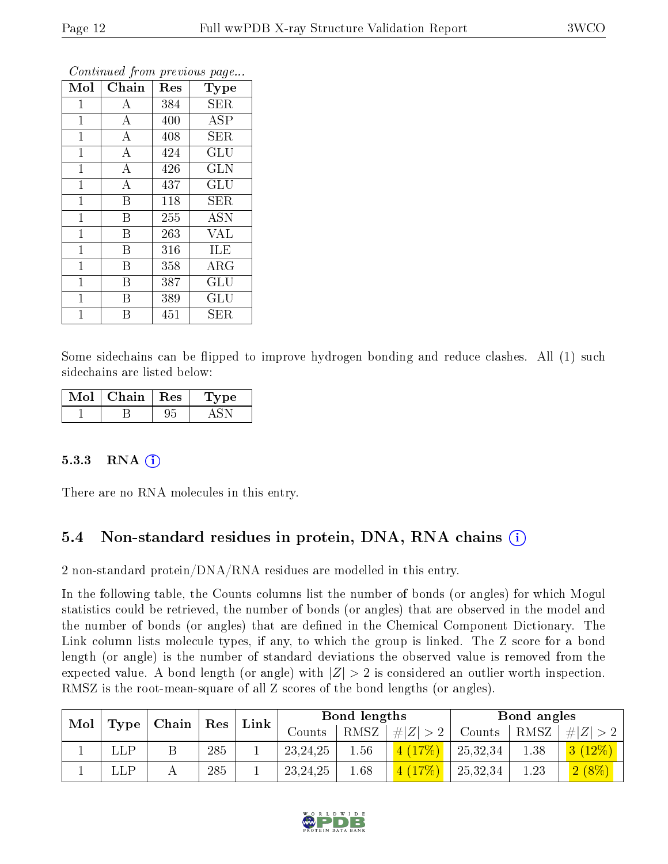| Mol          | Chain              | Res | <b>Type</b> |
|--------------|--------------------|-----|-------------|
| 1            | A                  | 384 | SER         |
| $\mathbf{1}$ | $\bf{A}$           | 400 | <b>ASP</b>  |
| $\mathbf{1}$ | $\overline{\rm A}$ | 408 | <b>SER</b>  |
| $\mathbf{1}$ | $\boldsymbol{A}$   | 424 | GLU         |
| $\mathbf{1}$ | $\overline{\rm A}$ | 426 | <b>GLN</b>  |
| 1            | $\boldsymbol{A}$   | 437 | GLU         |
| $\mathbf 1$  | $\overline{B}$     | 118 | SER         |
| $\mathbf{1}$ | B                  | 255 | <b>ASN</b>  |
| $\mathbf{1}$ | B                  | 263 | <b>VAL</b>  |
| $\mathbf{1}$ | B                  | 316 | ILE         |
| $\mathbf{1}$ | B                  | 358 | $\rm{ARG}$  |
| $\mathbf{1}$ | B                  | 387 | GLU         |
| 1            | B                  | 389 | GLU         |
| 1            | В                  | 451 | SER         |

Continued from previous page...

Some sidechains can be flipped to improve hydrogen bonding and reduce clashes. All (1) such sidechains are listed below:

| Mol | Chain | $\pm$ Res $\pm$ | Type |
|-----|-------|-----------------|------|
|     |       |                 |      |

#### 5.3.3 RNA  $(i)$

There are no RNA molecules in this entry.

### 5.4 Non-standard residues in protein, DNA, RNA chains (i)

2 non-standard protein/DNA/RNA residues are modelled in this entry.

In the following table, the Counts columns list the number of bonds (or angles) for which Mogul statistics could be retrieved, the number of bonds (or angles) that are observed in the model and the number of bonds (or angles) that are dened in the Chemical Component Dictionary. The Link column lists molecule types, if any, to which the group is linked. The Z score for a bond length (or angle) is the number of standard deviations the observed value is removed from the expected value. A bond length (or angle) with  $|Z| > 2$  is considered an outlier worth inspection. RMSZ is the root-mean-square of all Z scores of the bond lengths (or angles).

| Mol | $\vert$ Type $\vert$ | $\mid$ Chain $\mid$ Res |     | Link |            | Bond lengths |           |          | Bond angles |           |
|-----|----------------------|-------------------------|-----|------|------------|--------------|-----------|----------|-------------|-----------|
|     |                      |                         |     |      | Counts     | RMSZ         | $\# Z $   | Counts   | RMSZ        | $\# Z $   |
|     | LLP                  |                         | 285 |      | 23, 24, 25 | 1.56         | $4(17\%)$ | 25,32,34 | 1.38        | $3(12\%)$ |
|     | LLP                  |                         | 285 |      | 23, 24, 25 | 1.68         | $4(17\%)$ | 25,32,34 | 1.23        | $2(8\%)$  |

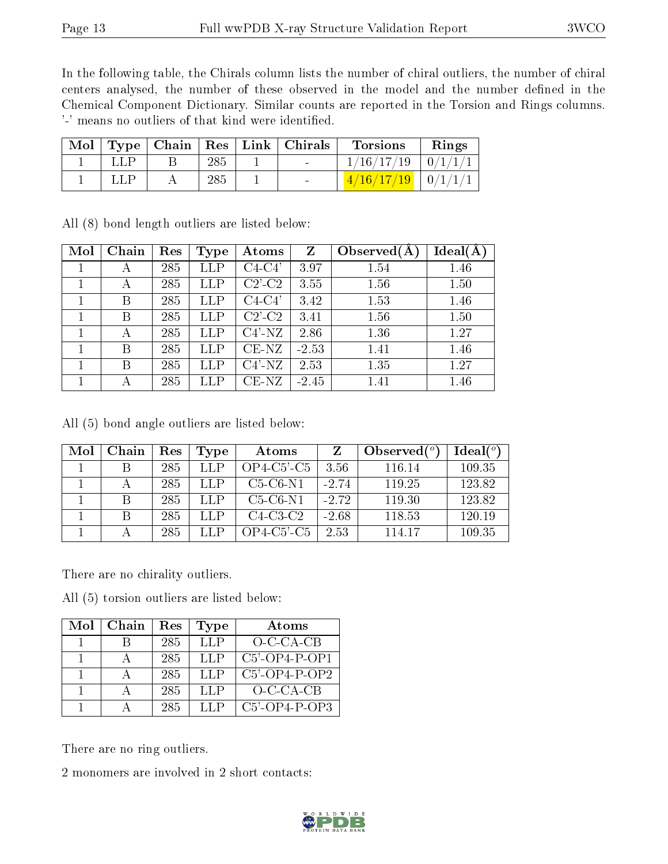In the following table, the Chirals column lists the number of chiral outliers, the number of chiral centers analysed, the number of these observed in the model and the number defined in the Chemical Component Dictionary. Similar counts are reported in the Torsion and Rings columns. '-' means no outliers of that kind were identified.

| Mol |      |     | $\mid$ Type $\mid$ Chain $\mid$ Res $\mid$ Link $\mid$ Chirals | <b>Torsions</b> | Rings                    |
|-----|------|-----|----------------------------------------------------------------|-----------------|--------------------------|
|     | LL P | 285 |                                                                | 1/16/17/19      | $-0/1/$                  |
|     | LLP. | 285 |                                                                | 4/16/17/19      | $\cdot$ + 0/1/1/ $\cdot$ |

All (8) bond length outliers are listed below:

| Mol | Chain | Res | <b>Type</b>  | Atoms                  | Z       | Observed $(A)$ | $Ideal(\AA)$ |
|-----|-------|-----|--------------|------------------------|---------|----------------|--------------|
|     | А     | 285 | ${\rm LLP}$  | $C4-C4'$               | 3.97    | 1.54           | 1.46         |
|     | А     | 285 | ${\rm LLP}$  | $C2$ <sup>-</sup> $C2$ | 3.55    | 1.56           | 1.50         |
|     | В     | 285 | $_{\rm LLP}$ | C4-C4'                 | 3.42    | 1.53           | 1.46         |
|     | В     | 285 | $_{\rm LLP}$ | $C2$ <sup>-</sup> $C2$ | 3.41    | 1.56           | 1.50         |
|     | А     | 285 | LLP          | $C4'$ -NZ              | 2.86    | 1.36           | 1.27         |
|     | Β     | 285 | LLP          | $CE-NZ$                | $-2.53$ | 1.41           | 1.46         |
|     | В     | 285 | ${\rm LLP}$  | $C4'$ -NZ              | 2.53    | 1.35           | 1.27         |
|     | А     | 285 | LLP          | $CE-NZ$                | $-2.45$ | 1.41           | 1.46         |

All (5) bond angle outliers are listed below:

| Mol | Chain | Res | Type | Atoms                                   |         | Observed $(°)$ | $\text{Ideal}({}^o)$ |
|-----|-------|-----|------|-----------------------------------------|---------|----------------|----------------------|
|     |       | 285 | LLP  | $OP4$ -C5 <sup><math>2</math></sup> -C5 | 3.56    | 116.14         | 109.35               |
|     |       | 285 | LLP  | $C5-C6-N1$                              | $-2.74$ | 119.25         | 123.82               |
|     |       | 285 | LLP  | $C5-C6-N1$                              | $-2.72$ | 119.30         | 123.82               |
|     |       | 285 | LLP  | $C4-C3-C2$                              | $-2.68$ | 118.53         | 120.19               |
|     |       | 285 | LLP. | $OP4$ -C5 <sup><math>2</math></sup> -C5 | 2.53    | 114.17         | 109.35               |

There are no chirality outliers.

All (5) torsion outliers are listed below:

| Mol | Chain | Res | Type | Atoms            |
|-----|-------|-----|------|------------------|
|     |       | 285 | LLP  | $O$ -C-CA-CB     |
|     |       | 285 | LLP  | $C5$ -OP4-P-OP1  |
|     |       | 285 | LLP  | $C5'$ -OP4-P-OP2 |
|     |       | 285 | LLP  | $O-C-CA-CB$      |
|     |       | 285 | LLP  | $C5'$ -OP4-P-OP3 |

There are no ring outliers.

2 monomers are involved in 2 short contacts:

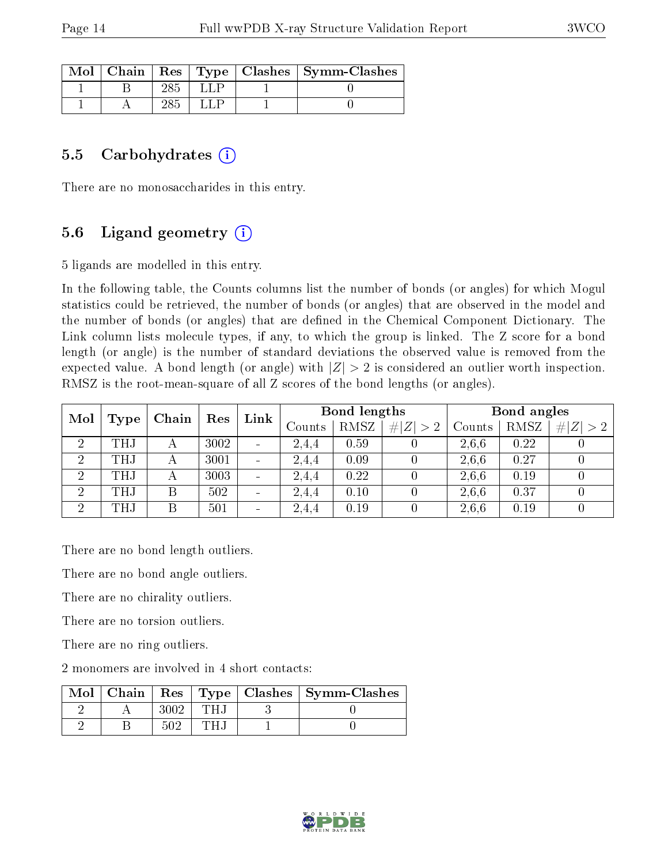|  |  | Mol   Chain   Res   Type   Clashes   Symm-Clashes |
|--|--|---------------------------------------------------|
|  |  |                                                   |
|  |  |                                                   |

#### 5.5 Carbohydrates  $(i)$

There are no monosaccharides in this entry.

### 5.6 Ligand geometry (i)

5 ligands are modelled in this entry.

In the following table, the Counts columns list the number of bonds (or angles) for which Mogul statistics could be retrieved, the number of bonds (or angles) that are observed in the model and the number of bonds (or angles) that are defined in the Chemical Component Dictionary. The Link column lists molecule types, if any, to which the group is linked. The Z score for a bond length (or angle) is the number of standard deviations the observed value is removed from the expected value. A bond length (or angle) with  $|Z| > 2$  is considered an outlier worth inspection. RMSZ is the root-mean-square of all Z scores of the bond lengths (or angles).

| Mol            |            |       | Res  | Link                     | Bond lengths |      |             | Bond angles |      |             |
|----------------|------------|-------|------|--------------------------|--------------|------|-------------|-------------|------|-------------|
|                | Type       | Chain |      |                          | Counts       | RMSZ | $\# Z  > 2$ | Counts      | RMSZ | # $ Z  > 2$ |
| $\overline{2}$ | <b>THJ</b> |       | 3002 | $\overline{\phantom{0}}$ | 2,4,4        | 0.59 |             | 2.6.6       | 0.22 |             |
| $\overline{2}$ | THJ        | А     | 3001 | $\overline{\phantom{0}}$ | 2,4,4        | 0.09 |             | 2,6,6       | 0.27 |             |
| $\overline{2}$ | <b>THJ</b> | А     | 3003 | $\overline{\phantom{0}}$ | 2,4,4        | 0.22 |             | 2,6,6       | 0.19 |             |
| $\overline{2}$ | <b>THJ</b> | Β     | 502  | $\blacksquare$           | 2,4,4        | 0.10 |             | 2.6.6       | 0.37 |             |
| $\overline{2}$ | <b>THJ</b> | Β     | 501  | $\overline{\phantom{0}}$ | 2,4,4        | 0.19 |             | 2,6,6       | 0.19 |             |

There are no bond length outliers.

There are no bond angle outliers.

There are no chirality outliers.

There are no torsion outliers.

There are no ring outliers.

2 monomers are involved in 4 short contacts:

| Chain | $\operatorname{Res}$ |  | $\mid$ Type $\mid$ Clashes $\mid$ Symm-Clashes |
|-------|----------------------|--|------------------------------------------------|
|       |                      |  |                                                |
|       |                      |  |                                                |

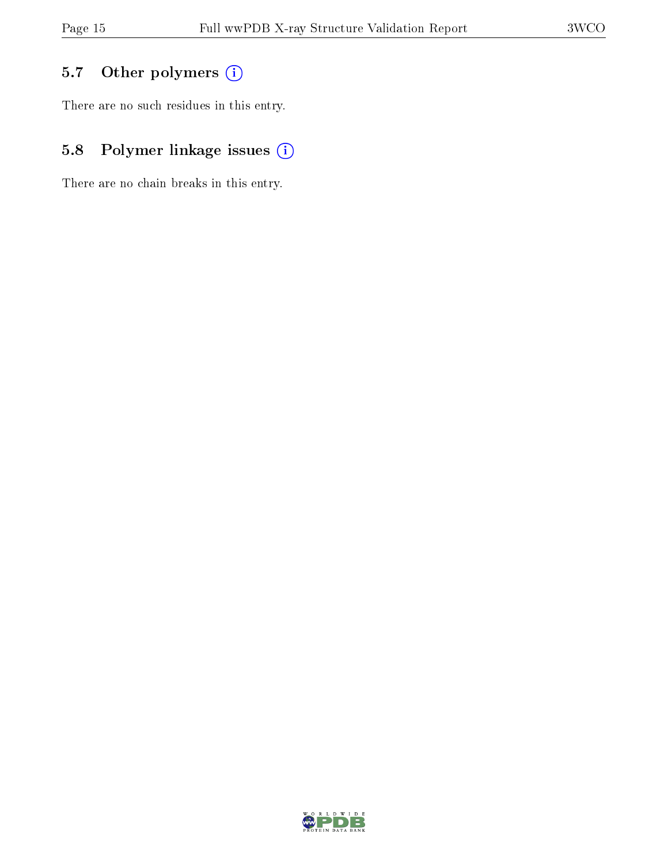## 5.7 [O](https://www.wwpdb.org/validation/2017/XrayValidationReportHelp#nonstandard_residues_and_ligands)ther polymers (i)

There are no such residues in this entry.

## 5.8 Polymer linkage issues (i)

There are no chain breaks in this entry.

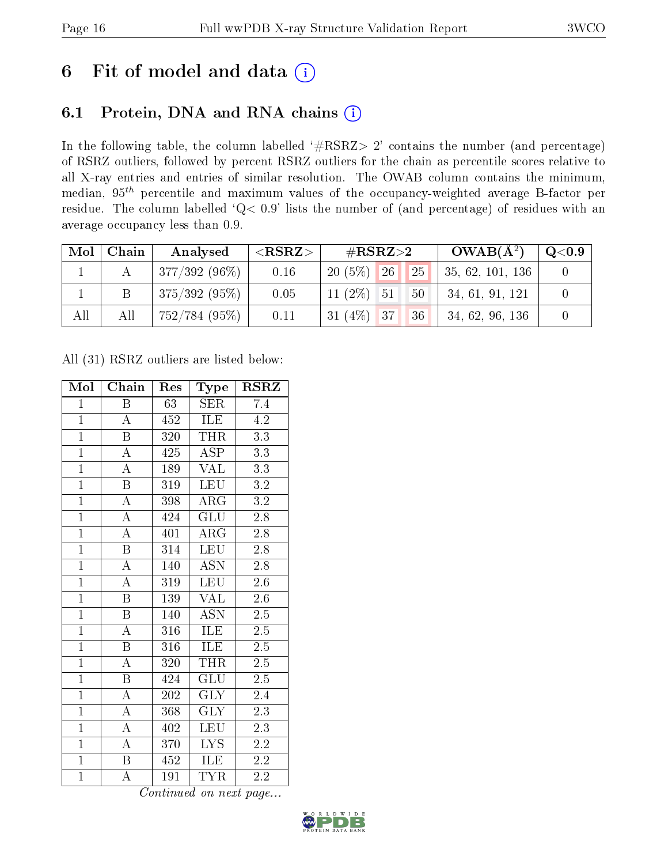## 6 Fit of model and data  $(i)$

## 6.1 Protein, DNA and RNA chains  $(i)$

In the following table, the column labelled  $#RSRZ> 2'$  contains the number (and percentage) of RSRZ outliers, followed by percent RSRZ outliers for the chain as percentile scores relative to all X-ray entries and entries of similar resolution. The OWAB column contains the minimum, median,  $95<sup>th</sup>$  percentile and maximum values of the occupancy-weighted average B-factor per residue. The column labelled ' $Q< 0.9$ ' lists the number of (and percentage) of residues with an average occupancy less than 0.9.

| Mol | Chain | Analysed        | ${ <\hspace{-1.5pt}{\mathrm{RSRZ}} \hspace{-1.5pt}>}$ | # $RSRZ>2$               |    | $OWAB(A^2)$      | $\rm Q\textcolor{black}{<}0.9$ |
|-----|-------|-----------------|-------------------------------------------------------|--------------------------|----|------------------|--------------------------------|
|     |       | $377/392(96\%)$ | 0.16                                                  | $20(5\%)$<br>$\sqrt{26}$ | 25 | 35, 62, 101, 136 |                                |
|     |       | $375/392(95\%)$ | 0.05                                                  | 11 $(2\%)$<br>51         | 50 | 34, 61, 91, 121  |                                |
| All | All   | 752/784(95%)    | 0.11                                                  | $31(4\%)$ 37             | 36 | 34, 62, 96, 136  |                                |

All (31) RSRZ outliers are listed below:

| Mol            | Chain                   | Res | Type                      | $\rm RSRZ$       |
|----------------|-------------------------|-----|---------------------------|------------------|
| $\mathbf{1}$   | B                       | 63  | <b>SER</b>                | 7.4              |
| $\overline{1}$ | $\boldsymbol{A}$        | 452 | ILE                       | 4.2              |
| $\overline{1}$ | $\overline{\mathrm{B}}$ | 320 | <b>THR</b>                | 3.3              |
| $\overline{1}$ | $\boldsymbol{A}$        | 425 | <b>ASP</b>                | 3.3              |
| $\overline{1}$ | $\overline{\rm A}$      | 189 | <b>VAL</b>                | $\overline{3.3}$ |
| $\overline{1}$ | $\boldsymbol{B}$        | 319 | <b>LEU</b>                | $3.2\,$          |
| $\overline{1}$ | $\overline{\rm A}$      | 398 | $\rm{ARG}$                | $\overline{3.2}$ |
| $\overline{1}$ | $\overline{\rm A}$      | 424 | $\overline{{\rm GLU}}$    | $2.\overline{8}$ |
| $\overline{1}$ | $\overline{\rm A}$      | 401 | $\rm{ARG}$                | $2.\overline{8}$ |
| $\overline{1}$ | $\overline{\mathrm{B}}$ | 314 | <b>LEU</b>                | 2.8              |
| $\overline{1}$ | $\overline{\rm A}$      | 140 | $\overline{\mathrm{ASN}}$ | 2.8              |
| $\overline{1}$ | $\overline{A}$          | 319 | <b>LEU</b>                | $2.6\,$          |
| $\overline{1}$ | $\overline{\mathrm{B}}$ | 139 | <b>VAL</b>                | $2.6\,$          |
| $\overline{1}$ | $\overline{\mathrm{B}}$ | 140 | $\overline{\rm ASN}$      | $2.5\,$          |
| $\overline{1}$ | $\overline{\rm A}$      | 316 | ILE                       | 2.5              |
| $\mathbf{1}$   | $\, {\bf B}$            | 316 | ILE                       | $2.5\,$          |
| $\overline{1}$ | $\overline{\rm A}$      | 320 | THR                       | $\overline{2.5}$ |
| $\overline{1}$ | $\, {\bf B}$            | 424 | $\overline{{\rm GLU}}$    | $2.5\,$          |
| $\overline{1}$ | $\overline{\rm A}$      | 202 | $\overline{\text{GLY}}$   | 2.4              |
| $\overline{1}$ | $\overline{\rm A}$      | 368 | $\overline{\text{GLY}}$   | 2.3              |
| $\overline{1}$ | $\boldsymbol{A}$        | 402 | <b>LEU</b>                | 2.3              |
| $\overline{1}$ | А                       | 370 | LYS.                      | $2.\overline{2}$ |
| $\mathbf{1}$   | B                       | 452 | ILE                       | 2.2              |
| $\mathbf{1}$   | А                       | 191 | <b>TYR</b>                | 2.2              |

Continued on next page...